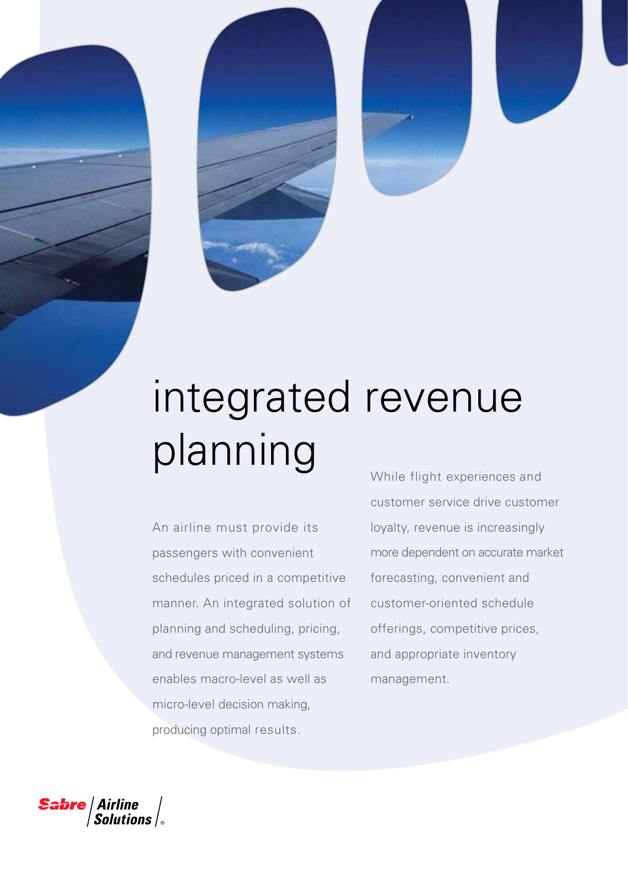

# integrated revenue planning

An airline must provide its passengers with convenient schedules priced in a competitive manner. An integrated solution of planning and scheduling, pricing, and revenue management systems enables macro-level as well as micro-level decision making, producing optimal results.

While flight experiences and customer service drive customer loyalty, revenue is increasingly more dependent on accurate market forecasting, convenient and customer-oriented schedule offerings, competitive prices, and appropriate inventory management.

 $\textcolor{red}{\textbf{Safe}}\big/ \textcolor{red}{\textbf{Solutions}}\big/ \textcolor{red}{\textbf{Solutions}}\big/ \textcolor{red}{\textbf{Solutions}}$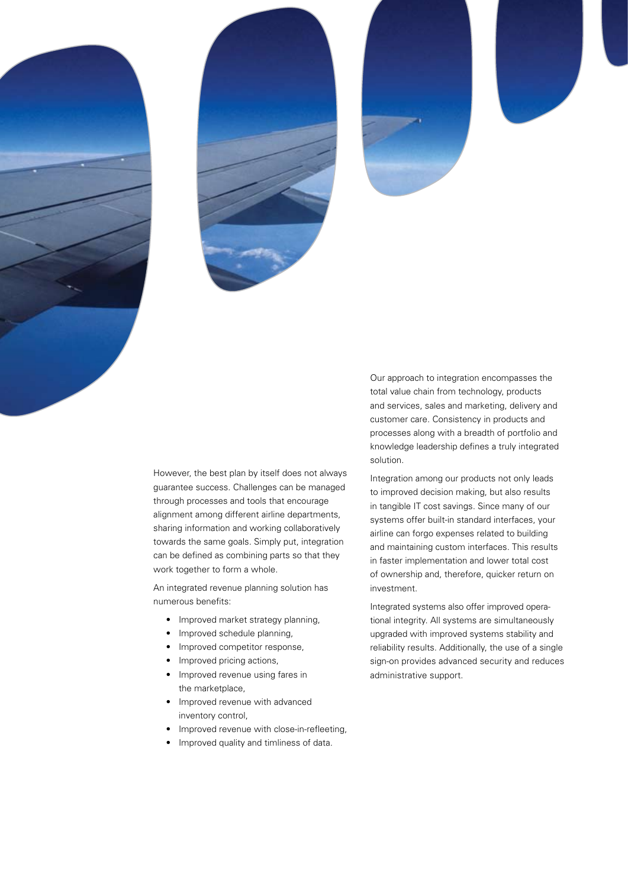



customer care. Consistency in products and processes along with a breadth of portfolio and knowledge leadership defines a truly integrated solution. Integration among our products not only leads to improved decision making, but also results

in tangible IT cost savings. Since many of our systems offer built-in standard interfaces, your airline can forgo expenses related to building and maintaining custom interfaces. This results in faster implementation and lower total cost of ownership and, therefore, quicker return on investment.

Our approach to integration encompasses the total value chain from technology, products and services, sales and marketing, delivery and

Integrated systems also offer improved operational integrity. All systems are simultaneously upgraded with improved systems stability and reliability results. Additionally, the use of a single sign-on provides advanced security and reduces administrative support.

However, the best plan by itself does not always guarantee success. Challenges can be managed through processes and tools that encourage alignment among different airline departments, sharing information and working collaboratively towards the same goals. Simply put, integration can be defined as combining parts so that they work together to form a whole.

An integrated revenue planning solution has numerous benefits:

- Improved market strategy planning,
- Improved schedule planning,
- Improved competitor response,
- Improved pricing actions,
- Improved revenue using fares in the marketplace,
- Improved revenue with advanced inventory control,
- Improved revenue with close-in-refleeting,
- Improved quality and timliness of data.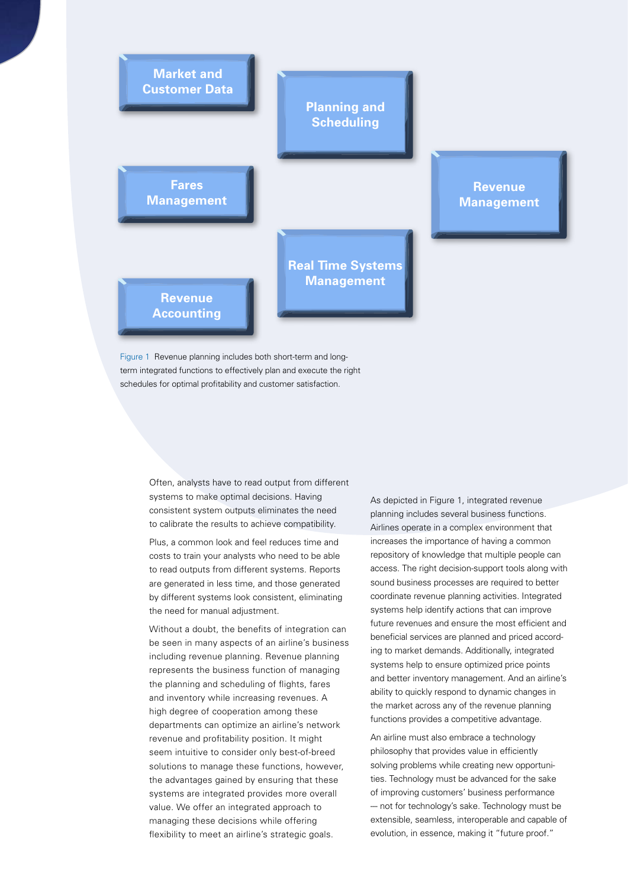

Figure 1 Revenue planning includes both short-term and longterm integrated functions to effectively plan and execute the right schedules for optimal profitability and customer satisfaction.

> Often, analysts have to read output from different systems to make optimal decisions. Having consistent system outputs eliminates the need to calibrate the results to achieve compatibility.

Plus, a common look and feel reduces time and costs to train your analysts who need to be able to read outputs from different systems. Reports are generated in less time, and those generated by different systems look consistent, eliminating the need for manual adjustment.

Without a doubt, the benefits of integration can be seen in many aspects of an airline's business including revenue planning. Revenue planning represents the business function of managing the planning and scheduling of flights, fares and inventory while increasing revenues. A high degree of cooperation among these departments can optimize an airline's network revenue and profitability position. It might seem intuitive to consider only best-of-breed solutions to manage these functions, however, the advantages gained by ensuring that these systems are integrated provides more overall value. We offer an integrated approach to managing these decisions while offering flexibility to meet an airline's strategic goals.

As depicted in Figure 1, integrated revenue planning includes several business functions. Airlines operate in a complex environment that increases the importance of having a common repository of knowledge that multiple people can access. The right decision-support tools along with sound business processes are required to better coordinate revenue planning activities. Integrated systems help identify actions that can improve future revenues and ensure the most efficient and beneficial services are planned and priced according to market demands. Additionally, integrated systems help to ensure optimized price points and better inventory management. And an airline's ability to quickly respond to dynamic changes in the market across any of the revenue planning functions provides a competitive advantage.

An airline must also embrace a technology philosophy that provides value in efficiently solving problems while creating new opportunities. Technology must be advanced for the sake of improving customers' business performance -- not for technology's sake. Technology must be extensible, seamless, interoperable and capable of evolution, in essence, making it "future proof."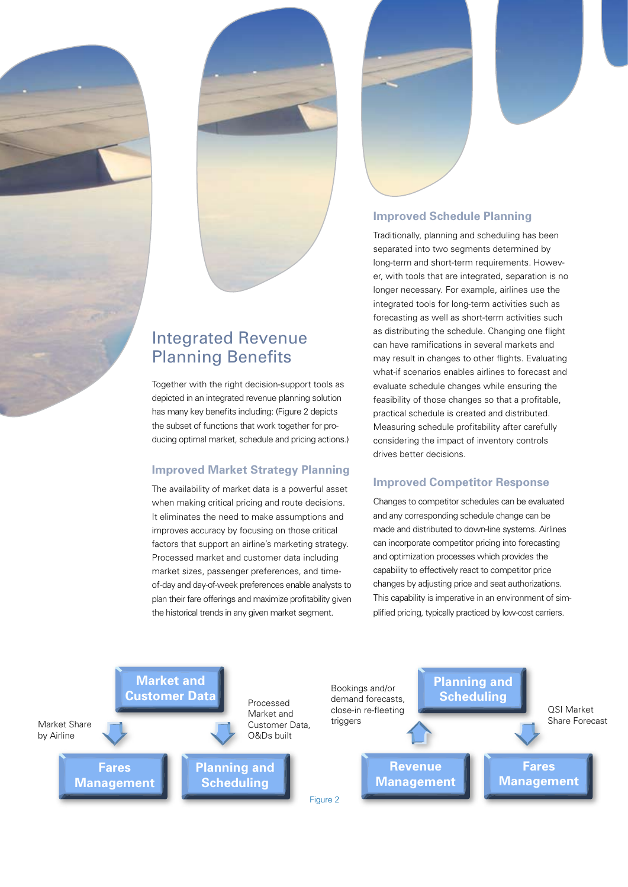

Together with the right decision-support tools as depicted in an integrated revenue planning solution has many key benefits including: (Figure 2 depicts the subset of functions that work together for producing optimal market, schedule and pricing actions.)

#### **Improved Market Strategy Planning**

The availability of market data is a powerful asset when making critical pricing and route decisions. It eliminates the need to make assumptions and improves accuracy by focusing on those critical factors that support an airline's marketing strategy. Processed market and customer data including market sizes, passenger preferences, and timeof-day and day-of-week preferences enable analysts to plan their fare offerings and maximize profitability given the historical trends in any given market segment.

#### **Improved Schedule Planning**

Traditionally, planning and scheduling has been separated into two segments determined by long-term and short-term requirements. However, with tools that are integrated, separation is no longer necessary. For example, airlines use the integrated tools for long-term activities such as forecasting as well as short-term activities such as distributing the schedule. Changing one flight can have ramifications in several markets and may result in changes to other flights. Evaluating what-if scenarios enables airlines to forecast and evaluate schedule changes while ensuring the feasibility of those changes so that a profitable, practical schedule is created and distributed. Measuring schedule profitability after carefully considering the impact of inventory controls drives better decisions.

#### **Improved Competitor Response**

Changes to competitor schedules can be evaluated and any corresponding schedule change can be made and distributed to down-line systems. Airlines can incorporate competitor pricing into forecasting and optimization processes which provides the capability to effectively react to competitor price changes by adjusting price and seat authorizations. This capability is imperative in an environment of simplified pricing, typically practiced by low-cost carriers.

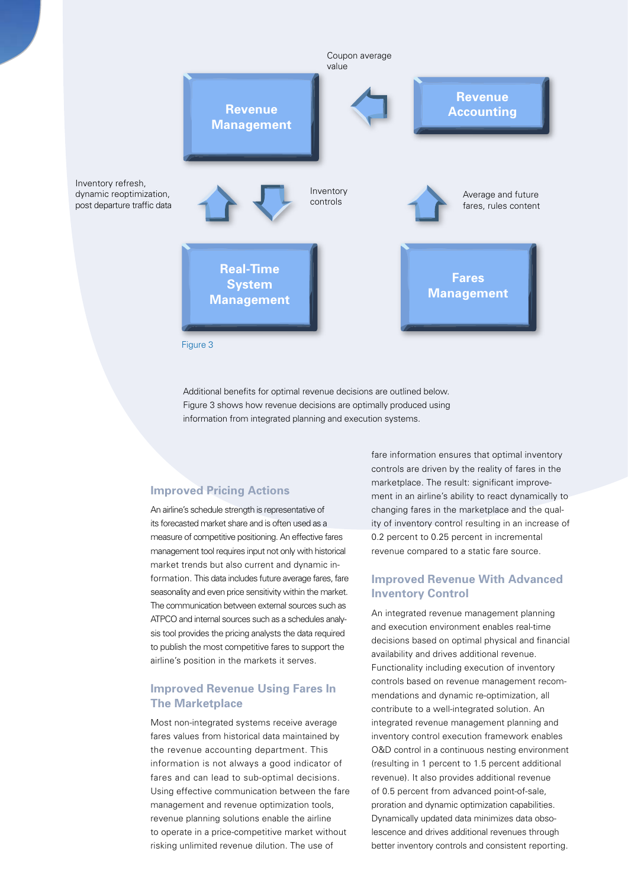

Additional benefits for optimal revenue decisions are outlined below. Figure 3 shows how revenue decisions are optimally produced using information from integrated planning and execution systems.

#### **Improved Pricing Actions**

Inventory refresh,

An airline's schedule strength is representative of its forecasted market share and is often used as a measure of competitive positioning. An effective fares management tool requires input not only with historical market trends but also current and dynamic information. This data includes future average fares, fare seasonality and even price sensitivity within the market. The communication between external sources such as ATPCO and internal sources such as a schedules analysis tool provides the pricing analysts the data required to publish the most competitive fares to support the airline's position in the markets it serves.

#### **Improved Revenue Using Fares In The Marketplace**

Most non-integrated systems receive average fares values from historical data maintained by the revenue accounting department. This information is not always a good indicator of fares and can lead to sub-optimal decisions. Using effective communication between the fare management and revenue optimization tools, revenue planning solutions enable the airline to operate in a price-competitive market without risking unlimited revenue dilution. The use of

fare information ensures that optimal inventory controls are driven by the reality of fares in the marketplace. The result: significant improvement in an airline's ability to react dynamically to changing fares in the marketplace and the quality of inventory control resulting in an increase of 0.2 percent to 0.25 percent in incremental revenue compared to a static fare source.

#### **Improved Revenue With Advanced Inventory Control**

An integrated revenue management planning and execution environment enables real-time decisions based on optimal physical and financial availability and drives additional revenue. Functionality including execution of inventory controls based on revenue management recommendations and dynamic re-optimization, all contribute to a well-integrated solution. An integrated revenue management planning and inventory control execution framework enables O&D control in a continuous nesting environment (resulting in 1 percent to 1.5 percent additional revenue). It also provides additional revenue of 0.5 percent from advanced point-of-sale, proration and dynamic optimization capabilities. Dynamically updated data minimizes data obsolescence and drives additional revenues through better inventory controls and consistent reporting.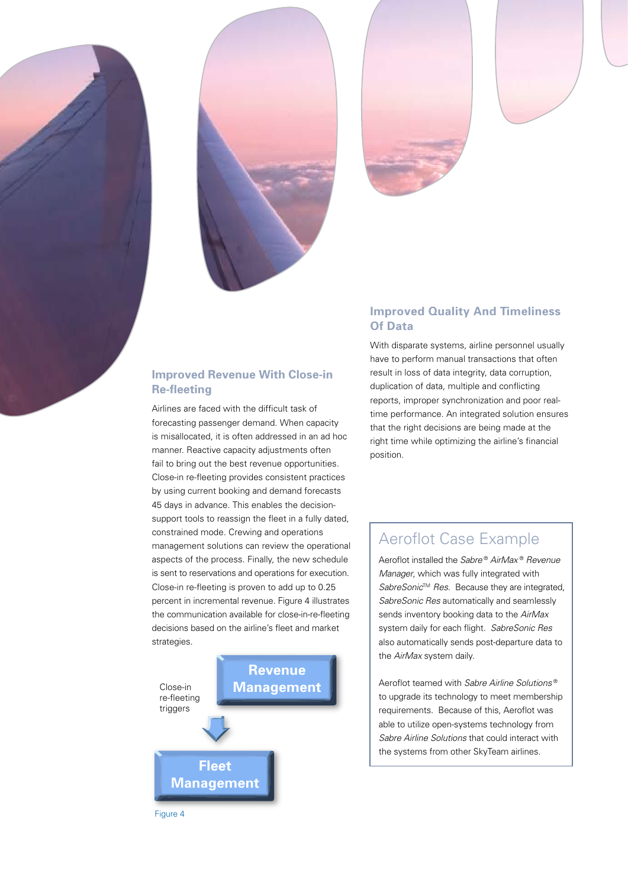

#### **Improved Quality And Timeliness Of Data**

With disparate systems, airline personnel usually have to perform manual transactions that often result in loss of data integrity, data corruption, duplication of data, multiple and conflicting reports, improper synchronization and poor realtime performance. An integrated solution ensures that the right decisions are being made at the right time while optimizing the airline's financial position.

## Airlines are faced with the difficult task of

**Improved Revenue With Close-in** 

**Re-fleeting**

forecasting passenger demand. When capacity is misallocated, it is often addressed in an ad hoc manner. Reactive capacity adjustments often fail to bring out the best revenue opportunities. Close-in re-fleeting provides consistent practices by using current booking and demand forecasts 45 days in advance. This enables the decisionsupport tools to reassign the fleet in a fully dated, constrained mode. Crewing and operations management solutions can review the operational aspects of the process. Finally, the new schedule is sent to reservations and operations for execution. Close-in re-fleeting is proven to add up to 0.25 percent in incremental revenue. Figure 4 illustrates the communication available for close-in-re-fleeting decisions based on the airline's fleet and market strategies.



### Aeroflot Case Example

Aeroflot installed the *Sabre* ® *AirMax* ® *Revenue Manager*, which was fully integrated with *SabreSonic*TM *Res*. Because they are integrated, *SabreSonic Res* automatically and seamlessly sends inventory booking data to the *AirMax* system daily for each flight. *SabreSonic Res* also automatically sends post-departure data to the *AirMax* system daily.

Aeroflot teamed with *Sabre Airline Solutions* ® to upgrade its technology to meet membership requirements. Because of this, Aeroflot was able to utilize open-systems technology from *Sabre Airline Solutions* that could interact with the systems from other SkyTeam airlines.

Figure 4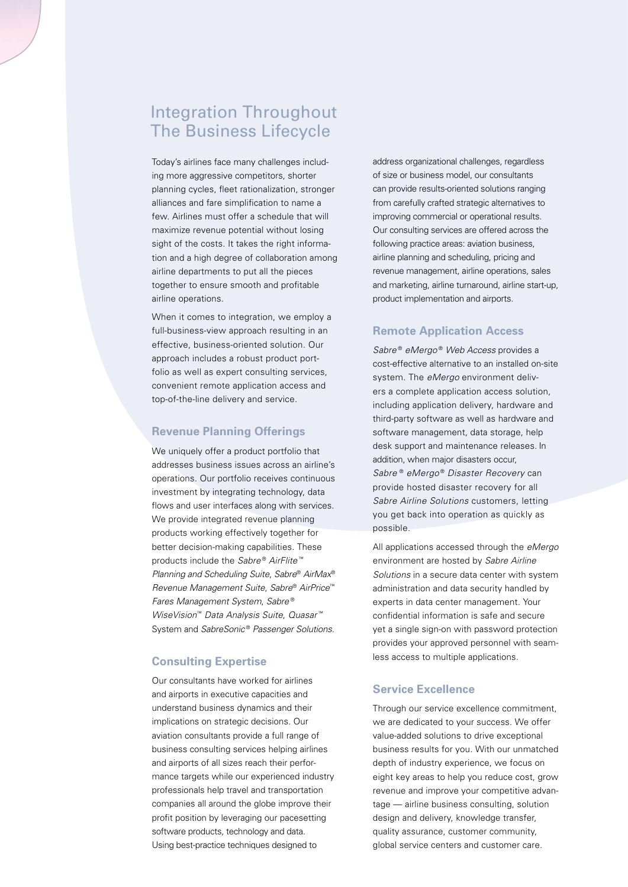## Integration Throughout The Business Lifecycle

Today's airlines face many challenges including more aggressive competitors, shorter planning cycles, fleet rationalization, stronger alliances and fare simplification to name a few. Airlines must offer a schedule that will maximize revenue potential without losing sight of the costs. It takes the right information and a high degree of collaboration among airline departments to put all the pieces together to ensure smooth and profitable airline operations.

When it comes to integration, we employ a full-business-view approach resulting in an effective, business-oriented solution. Our approach includes a robust product portfolio as well as expert consulting services, convenient remote application access and top-of-the-line delivery and service.

#### **Revenue Planning Offerings**

We uniquely offer a product portfolio that addresses business issues across an airline's operations. Our portfolio receives continuous investment by integrating technology, data flows and user interfaces along with services. We provide integrated revenue planning products working effectively together for better decision-making capabilities. These products include the *Sabre* ® *AirFlite* ™ *Planning and Scheduling Suite, Sabre® AirMax® Revenue Management Suite*, *Sabre* ® *AirPrice* ™ *Fares Management System*, *Sabre* ® *WiseVision*™ *Data Analysis Suite*, *Quasar* ™ System and *SabreSonic* ® *Passenger Solutions*.

#### **Consulting Expertise**

Our consultants have worked for airlines and airports in executive capacities and understand business dynamics and their implications on strategic decisions. Our aviation consultants provide a full range of business consulting services helping airlines and airports of all sizes reach their performance targets while our experienced industry professionals help travel and transportation companies all around the globe improve their profit position by leveraging our pacesetting software products, technology and data. Using best-practice techniques designed to

address organizational challenges, regardless of size or business model, our consultants can provide results-oriented solutions ranging from carefully crafted strategic alternatives to improving commercial or operational results. Our consulting services are offered across the following practice areas: aviation business, airline planning and scheduling, pricing and revenue management, airline operations, sales and marketing, airline turnaround, airline start-up, product implementation and airports.

#### **Remote Application Access**

*Sabre* ® *eMergo* ® *Web Access* provides a cost-effective alternative to an installed on-site system. The *eMergo* environment delivers a complete application access solution, including application delivery, hardware and third-party software as well as hardware and software management, data storage, help desk support and maintenance releases. In addition, when major disasters occur, *Sabre* ® *eMergo* ® *Disaster Recovery* can provide hosted disaster recovery for all *Sabre Airline Solutions* customers, letting you get back into operation as quickly as possible.

All applications accessed through the *eMergo* environment are hosted by *Sabre Airline Solutions* in a secure data center with system administration and data security handled by experts in data center management. Your confidential information is safe and secure yet a single sign-on with password protection provides your approved personnel with seamless access to multiple applications.

#### **Service Excellence**

Through our service excellence commitment, we are dedicated to your success. We offer value-added solutions to drive exceptional business results for you. With our unmatched depth of industry experience, we focus on eight key areas to help you reduce cost, grow revenue and improve your competitive advantage — airline business consulting, solution design and delivery, knowledge transfer, quality assurance, customer community, global service centers and customer care.